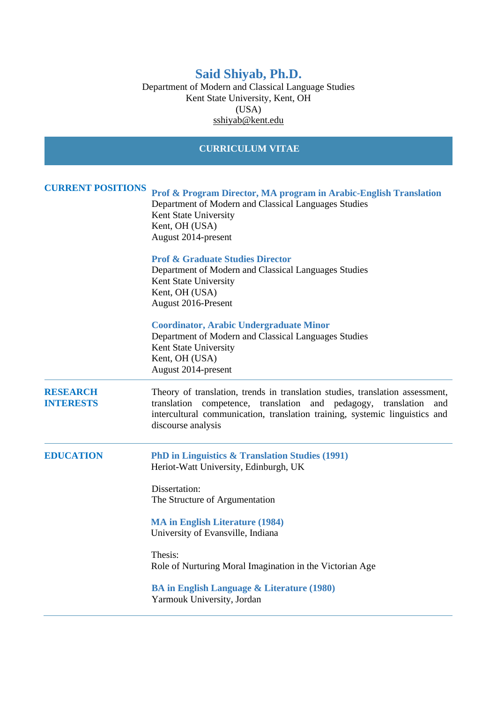# **Said Shiyab, Ph.D.**

Department of Modern and Classical Language Studies Kent State University, Kent, OH (USA) [sshiyab@kent.edu](mailto:sshiyab@kent.edu)

# **CURRICULUM VITAE CURRENT POSITIONS Prof & Program Director, MA program in Arabic-English Translation** Department of Modern and Classical Languages Studies Kent State University Kent, OH (USA) August 2014-present **Prof & Graduate Studies Director**  Department of Modern and Classical Languages Studies Kent State University Kent, OH (USA) August 2016-Present **Coordinator, Arabic Undergraduate Minor** Department of Modern and Classical Languages Studies Kent State University Kent, OH (USA) August 2014-present **RESEARCH INTERESTS**  Theory of translation, trends in translation studies, translation assessment, translation competence, translation and pedagogy, translation and intercultural communication, translation training, systemic linguistics and discourse analysis **EDUCATION PhD in Linguistics & Translation Studies (1991)** Heriot-Watt University, Edinburgh, UK Dissertation: The Structure of Argumentation **MA in English Literature (1984)** University of Evansville, Indiana Thesis: Role of Nurturing Moral Imagination in the Victorian Age **BA in English Language & Literature (1980)** Yarmouk University, Jordan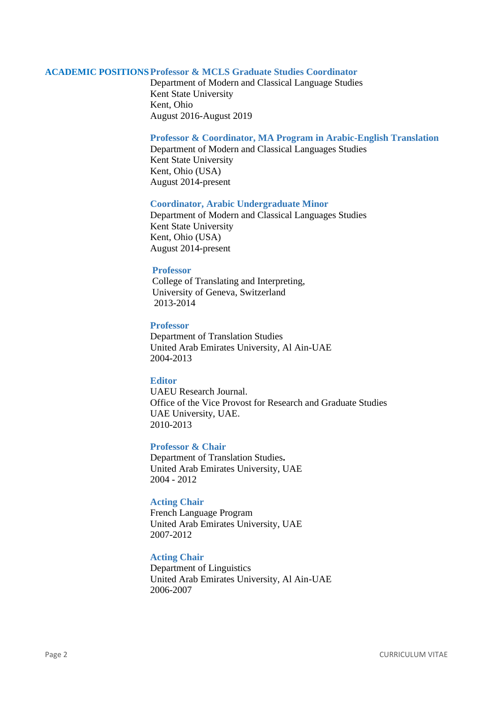## **ACADEMIC POSITIONSProfessor & MCLS Graduate Studies Coordinator**

Department of Modern and Classical Language Studies Kent State University Kent, Ohio August 2016-August 2019

#### **Professor & Coordinator, MA Program in Arabic-English Translation**

Department of Modern and Classical Languages Studies Kent State University Kent, Ohio (USA) August 2014-present

#### **Coordinator, Arabic Undergraduate Minor**

Department of Modern and Classical Languages Studies Kent State University Kent, Ohio (USA) August 2014-present

## **Professor**

 College of Translating and Interpreting, University of Geneva, Switzerland 2013-2014

## **Professor**

Department of Translation Studies United Arab Emirates University, Al Ain-UAE 2004-2013

## **Editor**

UAEU Research Journal. Office of the Vice Provost for Research and Graduate Studies UAE University, UAE. 2010-2013

## **Professor & Chair**

Department of Translation Studies**.** United Arab Emirates University, UAE 2004 - 2012

# **Acting Chair**

French Language Program United Arab Emirates University, UAE 2007-2012

## **Acting Chair**

Department of Linguistics United Arab Emirates University, Al Ain-UAE 2006-2007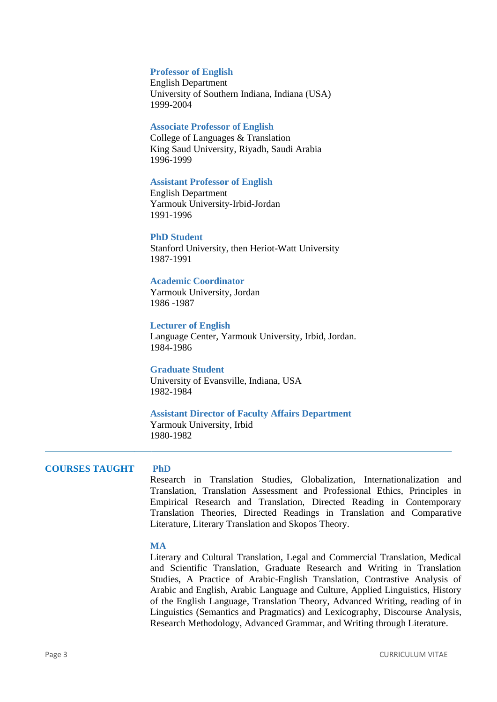#### **Professor of English**

English Department University of Southern Indiana, Indiana (USA) 1999-2004

## **Associate Professor of English**

College of Languages & Translation King Saud University, Riyadh, Saudi Arabia 1996-1999

#### **Assistant Professor of English**

English Department Yarmouk University-Irbid-Jordan 1991-1996

#### **PhD Student**

Stanford University, then Heriot-Watt University 1987-1991

## **Academic Coordinator**

Yarmouk University, Jordan 1986 -1987

# **Lecturer of English**

Language Center, Yarmouk University, Irbid, Jordan. 1984-1986

## **Graduate Student**

University of Evansville, Indiana, USA 1982-1984

#### **Assistant Director of Faculty Affairs Department**

Yarmouk University, Irbid 1980-1982

## **COURSES TAUGHT PhD**

Research in Translation Studies, Globalization, Internationalization and Translation, Translation Assessment and Professional Ethics, Principles in Empirical Research and Translation, Directed Reading in Contemporary Translation Theories, Directed Readings in Translation and Comparative Literature, Literary Translation and Skopos Theory.

## **MA**

Literary and Cultural Translation, Legal and Commercial Translation, Medical and Scientific Translation, Graduate Research and Writing in Translation Studies, A Practice of Arabic-English Translation, Contrastive Analysis of Arabic and English, Arabic Language and Culture, Applied Linguistics, History of the English Language, Translation Theory, Advanced Writing, reading of in Linguistics (Semantics and Pragmatics) and Lexicography, Discourse Analysis, Research Methodology, Advanced Grammar, and Writing through Literature.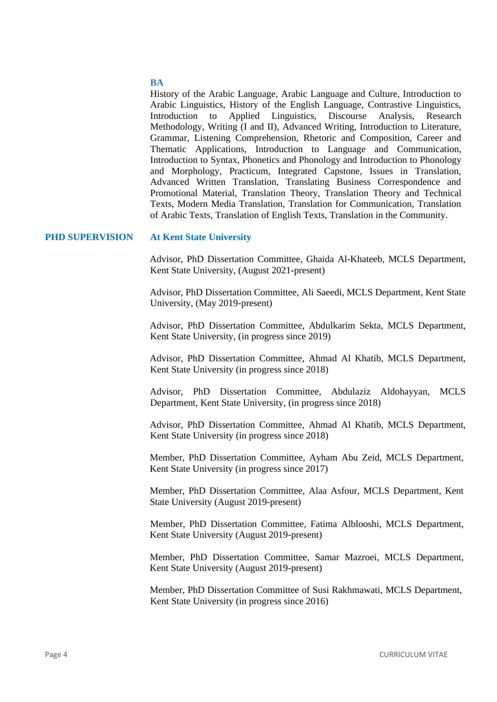## **BA**

History of the Arabic Language, Arabic Language and Culture, Introduction to Arabic Linguistics, History of the English Language, Contrastive Linguistics, Introduction to Applied Linguistics, Discourse Analysis, Research Methodology, Writing (I and II), Advanced Writing, Introduction to Literature, Grammar, Listening Comprehension, Rhetoric and Composition, Career and Thematic Applications, Introduction to Language and Communication, Introduction to Syntax, Phonetics and Phonology and Introduction to Phonology and Morphology, Practicum, Integrated Capstone, Issues in Translation, Advanced Written Translation, Translating Business Correspondence and Promotional Material, Translation Theory, Translation Theory and Technical Texts, Modern Media Translation, Translation for Communication, Translation of Arabic Texts, Translation of English Texts, Translation in the Community.

#### **PHD SUPERVISION At Kent State University**

Advisor, PhD Dissertation Committee, Ghaida Al-Khateeb, MCLS Department, Kent State University, (August 2021-present)

Advisor, PhD Dissertation Committee, Ali Saeedi, MCLS Department, Kent State University, (May 2019-present)

Advisor, PhD Dissertation Committee, Abdulkarim Sekta, MCLS Department, Kent State University, (in progress since 2019)

Advisor, PhD Dissertation Committee, Ahmad Al Khatib, MCLS Department, Kent State University (in progress since 2018)

Advisor, PhD Dissertation Committee, Abdulaziz Aldohayyan, MCLS Department, Kent State University, (in progress since 2018)

Advisor, PhD Dissertation Committee, Ahmad Al Khatib, MCLS Department, Kent State University (in progress since 2018)

Member, PhD Dissertation Committee, Ayham Abu Zeid, MCLS Department, Kent State University (in progress since 2017)

Member, PhD Dissertation Committee, Alaa Asfour, MCLS Department, Kent State University (August 2019-present)

Member, PhD Dissertation Committee, Fatima Alblooshi, MCLS Department, Kent State University (August 2019-present)

Member, PhD Dissertation Committee, Samar Mazroei, MCLS Department, Kent State University (August 2019-present)

Member, PhD Dissertation Committee of Susi Rakhmawati, MCLS Department, Kent State University (in progress since 2016)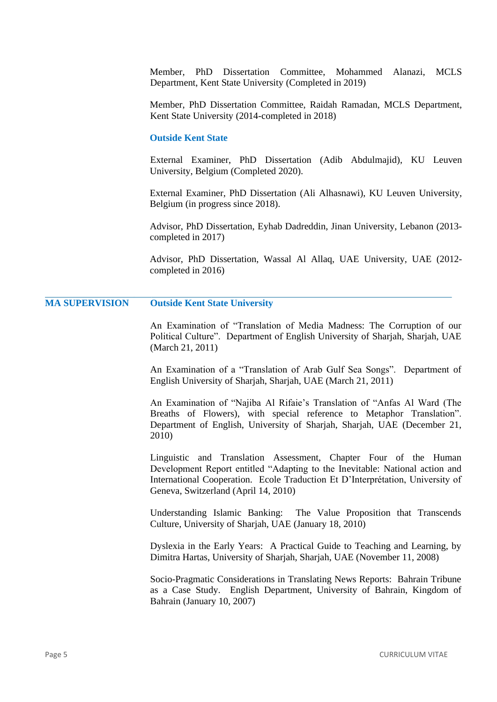Member, PhD Dissertation Committee, Mohammed Alanazi, MCLS Department, Kent State University (Completed in 2019)

Member, PhD Dissertation Committee, Raidah Ramadan, MCLS Department, Kent State University (2014-completed in 2018)

#### **Outside Kent State**

External Examiner, PhD Dissertation (Adib Abdulmajid), KU Leuven University, Belgium (Completed 2020).

External Examiner, PhD Dissertation (Ali Alhasnawi), KU Leuven University, Belgium (in progress since 2018).

Advisor, PhD Dissertation, Eyhab Dadreddin, Jinan University, Lebanon (2013 completed in 2017)

Advisor, PhD Dissertation, Wassal Al Allaq, UAE University, UAE (2012 completed in 2016)

# **MA SUPERVISION Outside Kent State University**

An Examination of "Translation of Media Madness: The Corruption of our Political Culture". Department of English University of Sharjah, Sharjah, UAE (March 21, 2011)

An Examination of a "Translation of Arab Gulf Sea Songs". Department of English University of Sharjah, Sharjah, UAE (March 21, 2011)

An Examination of "Najiba Al Rifaie's Translation of "Anfas Al Ward (The Breaths of Flowers), with special reference to Metaphor Translation". Department of English, University of Sharjah, Sharjah, UAE (December 21, 2010)

Linguistic and Translation Assessment, Chapter Four of the Human Development Report entitled "Adapting to the Inevitable: National action and International Cooperation. Ecole Traduction Et D'Interprétation, University of Geneva, Switzerland (April 14, 2010)

Understanding Islamic Banking: The Value Proposition that Transcends Culture, University of Sharjah, UAE (January 18, 2010)

Dyslexia in the Early Years: A Practical Guide to Teaching and Learning, by Dimitra Hartas, University of Sharjah, Sharjah, UAE (November 11, 2008)

Socio-Pragmatic Considerations in Translating News Reports: Bahrain Tribune as a Case Study. English Department, University of Bahrain, Kingdom of Bahrain (January 10, 2007)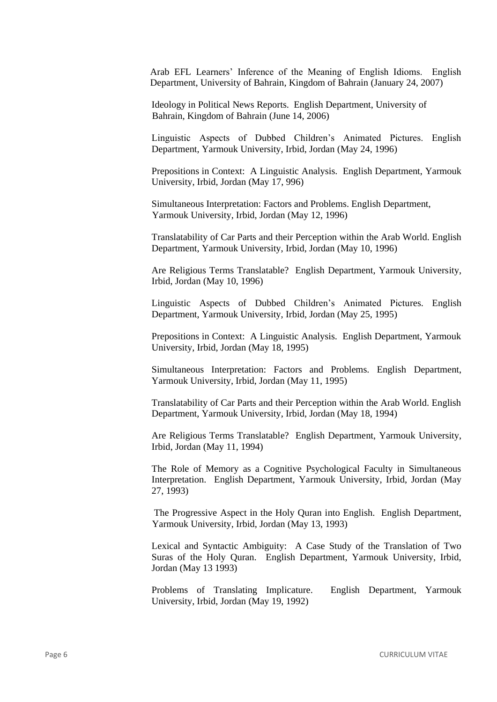Arab EFL Learners' Inference of the Meaning of English Idioms. English Department, University of Bahrain, Kingdom of Bahrain (January 24, 2007)

Ideology in Political News Reports. English Department, University of Bahrain, Kingdom of Bahrain (June 14, 2006)

Linguistic Aspects of Dubbed Children's Animated Pictures. English Department, Yarmouk University, Irbid, Jordan (May 24, 1996)

Prepositions in Context: A Linguistic Analysis. English Department, Yarmouk University, Irbid, Jordan (May 17, 996)

Simultaneous Interpretation: Factors and Problems. English Department, Yarmouk University, Irbid, Jordan (May 12, 1996)

Translatability of Car Parts and their Perception within the Arab World. English Department, Yarmouk University, Irbid, Jordan (May 10, 1996)

Are Religious Terms Translatable? English Department, Yarmouk University, Irbid, Jordan (May 10, 1996)

Linguistic Aspects of Dubbed Children's Animated Pictures. English Department, Yarmouk University, Irbid, Jordan (May 25, 1995)

Prepositions in Context: A Linguistic Analysis. English Department, Yarmouk University, Irbid, Jordan (May 18, 1995)

Simultaneous Interpretation: Factors and Problems. English Department, Yarmouk University, Irbid, Jordan (May 11, 1995)

Translatability of Car Parts and their Perception within the Arab World. English Department, Yarmouk University, Irbid, Jordan (May 18, 1994)

Are Religious Terms Translatable? English Department, Yarmouk University, Irbid, Jordan (May 11, 1994)

The Role of Memory as a Cognitive Psychological Faculty in Simultaneous Interpretation. English Department, Yarmouk University, Irbid, Jordan (May 27, 1993)

The Progressive Aspect in the Holy Quran into English. English Department, Yarmouk University, Irbid, Jordan (May 13, 1993)

Lexical and Syntactic Ambiguity: A Case Study of the Translation of Two Suras of the Holy Quran. English Department, Yarmouk University, Irbid, Jordan (May 13 1993)

Problems of Translating Implicature. English Department, Yarmouk University, Irbid, Jordan (May 19, 1992)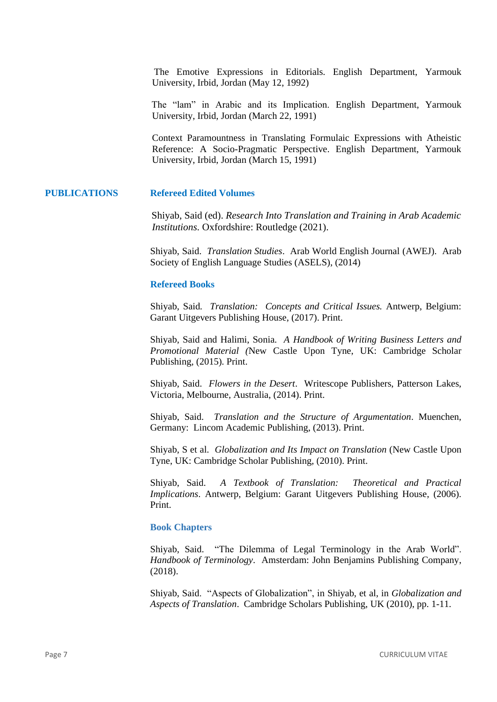The Emotive Expressions in Editorials. English Department, Yarmouk University, Irbid, Jordan (May 12, 1992)

The "lam" in Arabic and its Implication. English Department, Yarmouk University, Irbid, Jordan (March 22, 1991)

Context Paramountness in Translating Formulaic Expressions with Atheistic Reference: A Socio-Pragmatic Perspective. English Department, Yarmouk University, Irbid, Jordan (March 15, 1991)

## **PUBLICATIONS Refereed Edited Volumes**

Shiyab, Said (ed). *Research Into Translation and Training in Arab Academic Institutions.* Oxfordshire: Routledge (2021).

Shiyab, Said. *Translation Studies*. Arab World English Journal (AWEJ). Arab Society of English Language Studies (ASELS), (2014)

#### **Refereed Books**

Shiyab, Said*. Translation: Concepts and Critical Issues.* Antwerp, Belgium: Garant Uitgevers Publishing House, (2017). Print.

Shiyab, Said and Halimi, Sonia*. A Handbook of Writing Business Letters and Promotional Material (*New Castle Upon Tyne, UK: Cambridge Scholar Publishing, (2015). Print.

Shiyab, Said. *Flowers in the Desert*. Writescope Publishers, Patterson Lakes, Victoria, Melbourne, Australia, (2014). Print.

Shiyab, Said. *Translation and the Structure of Argumentation*. Muenchen, Germany: Lincom Academic Publishing, (2013). Print.

Shiyab, S et al*. Globalization and Its Impact on Translation* (New Castle Upon Tyne, UK: Cambridge Scholar Publishing, (2010). Print.

Shiyab, Said. *A Textbook of Translation: Theoretical and Practical Implications*. Antwerp, Belgium: Garant Uitgevers Publishing House, (2006). Print.

#### **Book Chapters**

Shiyab, Said. "The Dilemma of Legal Terminology in the Arab World". *Handbook of Terminology*. Amsterdam: John Benjamins Publishing Company, (2018).

Shiyab, Said. "Aspects of Globalization", in Shiyab, et al, in *Globalization and Aspects of Translation*. Cambridge Scholars Publishing, UK (2010), pp. 1-11.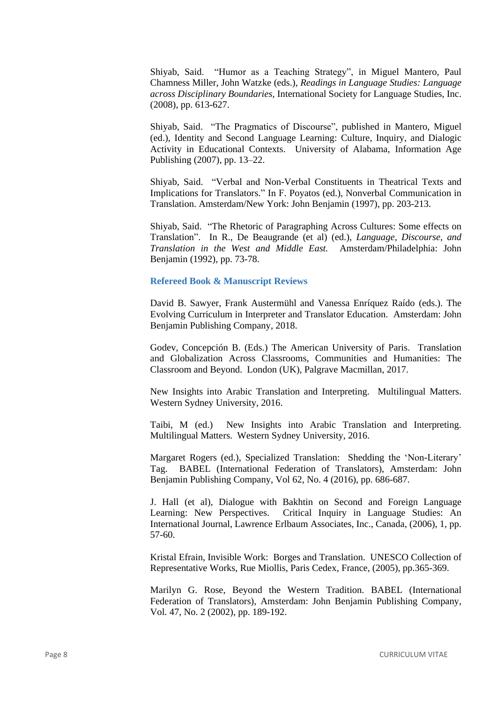Shiyab, Said. "Humor as a Teaching Strategy", in Miguel Mantero, Paul Chamness Miller, John Watzke (eds.), *Readings in Language Studies: Language across Disciplinary Boundaries*, International Society for Language Studies, Inc. (2008), pp. 613-627.

Shiyab, Said. "The Pragmatics of Discourse", published in Mantero, Miguel (ed.), Identity and Second Language Learning: Culture, Inquiry, and Dialogic Activity in Educational Contexts. University of Alabama, Information Age Publishing (2007), pp. 13–22.

Shiyab, Said. "Verbal and Non-Verbal Constituents in Theatrical Texts and Implications for Translators." In F. Poyatos (ed.), Nonverbal Communication in Translation. Amsterdam/New York: John Benjamin (1997), pp. 203-213.

Shiyab, Said. "The Rhetoric of Paragraphing Across Cultures: Some effects on Translation". In R., De Beaugrande (et al) (ed.), *Language, Discourse, and Translation in the West and Middle East.* Amsterdam/Philadelphia: John Benjamin (1992), pp. 73-78.

#### **Refereed Book & Manuscript Reviews**

David B. Sawyer, Frank Austermühl and Vanessa Enríquez Raído (eds.). The Evolving Curriculum in Interpreter and Translator Education. Amsterdam: John Benjamin Publishing Company, 2018.

Godev, Concepción B. (Eds.) The American University of Paris. Translation and Globalization Across Classrooms, Communities and Humanities: The Classroom and Beyond. London (UK), Palgrave Macmillan, 2017.

New Insights into Arabic Translation and Interpreting. Multilingual Matters. Western Sydney University, 2016.

Taibi, M (ed.) New Insights into Arabic Translation and Interpreting. Multilingual Matters. Western Sydney University, 2016.

Margaret Rogers (ed.), Specialized Translation: Shedding the 'Non-Literary' Tag. BABEL (International Federation of Translators), Amsterdam: John Benjamin Publishing Company, Vol 62, No. 4 (2016), pp. 686-687.

J. Hall (et al), Dialogue with Bakhtin on Second and Foreign Language Learning: New Perspectives. Critical Inquiry in Language Studies: An International Journal, Lawrence Erlbaum Associates, Inc., Canada, (2006), 1, pp. 57-60.

Kristal Efrain, Invisible Work: Borges and Translation. UNESCO Collection of Representative Works, Rue Miollis, Paris Cedex, France, (2005), pp.365-369.

Marilyn G. Rose, Beyond the Western Tradition. BABEL (International Federation of Translators), Amsterdam: John Benjamin Publishing Company, Vol. 47, No. 2 (2002), pp. 189-192.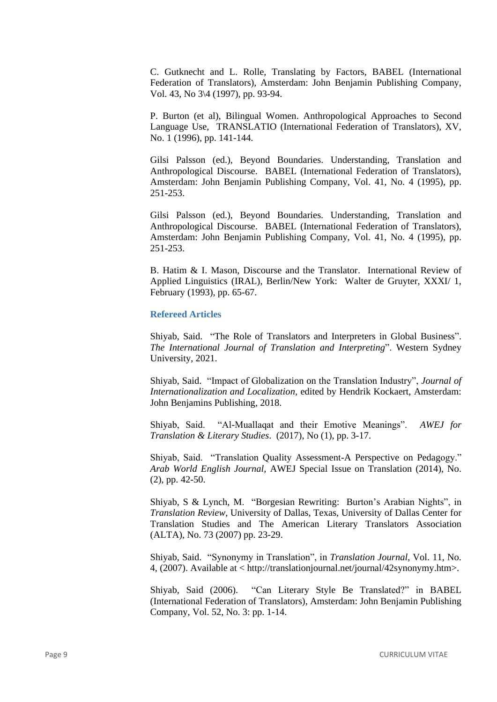C. Gutknecht and L. Rolle, Translating by Factors, BABEL (International Federation of Translators), Amsterdam: John Benjamin Publishing Company, Vol. 43, No 3\4 (1997), pp. 93-94.

P. Burton (et al), Bilingual Women. Anthropological Approaches to Second Language Use, TRANSLATIO (International Federation of Translators), XV, No. 1 (1996), pp. 141-144.

Gilsi Palsson (ed.), Beyond Boundaries. Understanding, Translation and Anthropological Discourse. BABEL (International Federation of Translators), Amsterdam: John Benjamin Publishing Company, Vol. 41, No. 4 (1995), pp. 251-253.

Gilsi Palsson (ed.), Beyond Boundaries. Understanding, Translation and Anthropological Discourse. BABEL (International Federation of Translators), Amsterdam: John Benjamin Publishing Company, Vol. 41, No. 4 (1995), pp. 251-253.

B. Hatim & I. Mason, Discourse and the Translator. International Review of Applied Linguistics (IRAL), Berlin/New York: Walter de Gruyter, XXXI/ 1, February (1993), pp. 65-67.

## **Refereed Articles**

Shiyab, Said. "The Role of Translators and Interpreters in Global Business". *The International Journal of Translation and Interpreting*". Western Sydney University, 2021.

Shiyab, Said. "Impact of Globalization on the Translation Industry", *Journal of Internationalization and Localization,* edited by Hendrik Kockaert, Amsterdam: John Benjamins Publishing, 2018.

Shiyab, Said. "Al-Muallaqat and their Emotive Meanings". *AWEJ for Translation & Literary Studies*. (2017), No (1), pp. 3-17.

Shiyab, Said. "Translation Quality Assessment-A Perspective on Pedagogy." *Arab World English Journal,* AWEJ Special Issue on Translation (2014), No. (2), pp. 42-50.

Shiyab, S & Lynch, M. "Borgesian Rewriting: Burton's Arabian Nights", in *Translation Review*, University of Dallas, Texas, University of Dallas Center for Translation Studies and The American Literary Translators Association (ALTA), No. 73 (2007) pp. 23-29.

Shiyab, Said. "Synonymy in Translation", in *Translation Journal*, Vol. 11, No. 4, (2007). Available at < http://translationjournal.net/journal/42synonymy.htm>.

Shiyab, Said (2006). "Can Literary Style Be Translated?" in BABEL (International Federation of Translators), Amsterdam: John Benjamin Publishing Company, Vol. 52, No. 3: pp. 1-14.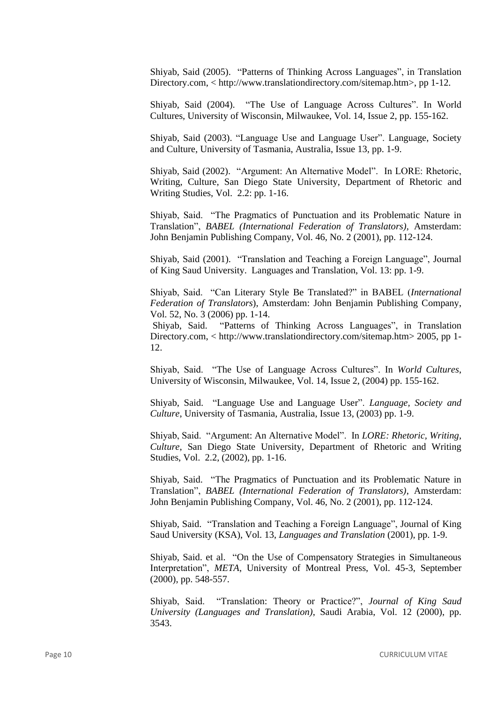Shiyab, Said (2005). "Patterns of Thinking Across Languages", in Translation Directory.com, < http://www.translationdirectory.com/sitemap.htm>, pp 1-12.

Shiyab, Said (2004). "The Use of Language Across Cultures". In World Cultures, University of Wisconsin, Milwaukee, Vol. 14, Issue 2, pp. 155-162.

Shiyab, Said (2003). "Language Use and Language User". Language, Society and Culture, University of Tasmania, Australia, Issue 13, pp. 1-9.

Shiyab, Said (2002). "Argument: An Alternative Model". In LORE: Rhetoric, Writing, Culture, San Diego State University, Department of Rhetoric and Writing Studies, Vol. 2.2: pp. 1-16.

Shiyab, Said. "The Pragmatics of Punctuation and its Problematic Nature in Translation", *BABEL (International Federation of Translators)*, Amsterdam: John Benjamin Publishing Company, Vol. 46, No. 2 (2001), pp. 112-124.

Shiyab, Said (2001). "Translation and Teaching a Foreign Language", Journal of King Saud University. Languages and Translation, Vol. 13: pp. 1-9.

Shiyab, Said. "Can Literary Style Be Translated?" in BABEL (*International Federation of Translators*), Amsterdam: John Benjamin Publishing Company, Vol. 52, No. 3 (2006) pp. 1-14.

Shiyab, Said. "Patterns of Thinking Across Languages", in Translation Directory.com, < http://www.translationdirectory.com/sitemap.htm> 2005, pp 1- 12.

Shiyab, Said. "The Use of Language Across Cultures". In *World Cultures*, University of Wisconsin, Milwaukee, Vol. 14, Issue 2, (2004) pp. 155-162.

Shiyab, Said. "Language Use and Language User". *Language, Society and Culture*, University of Tasmania, Australia, Issue 13, (2003) pp. 1-9.

Shiyab, Said. "Argument: An Alternative Model". In *LORE: Rhetoric, Writing, Culture*, San Diego State University, Department of Rhetoric and Writing Studies, Vol. 2.2, (2002), pp. 1-16.

Shiyab, Said. "The Pragmatics of Punctuation and its Problematic Nature in Translation", *BABEL (International Federation of Translators)*, Amsterdam: John Benjamin Publishing Company, Vol. 46, No. 2 (2001), pp. 112-124.

Shiyab, Said. "Translation and Teaching a Foreign Language", Journal of King Saud University (KSA), Vol. 13, *Languages and Translation* (2001), pp. 1-9.

Shiyab, Said. et al. "On the Use of Compensatory Strategies in Simultaneous Interpretation", *META*, University of Montreal Press, Vol. 45-3, September (2000), pp. 548-557.

Shiyab, Said. "Translation: Theory or Practice?", *Journal of King Saud University (Languages and Translation)*, Saudi Arabia, Vol. 12 (2000), pp. 3543.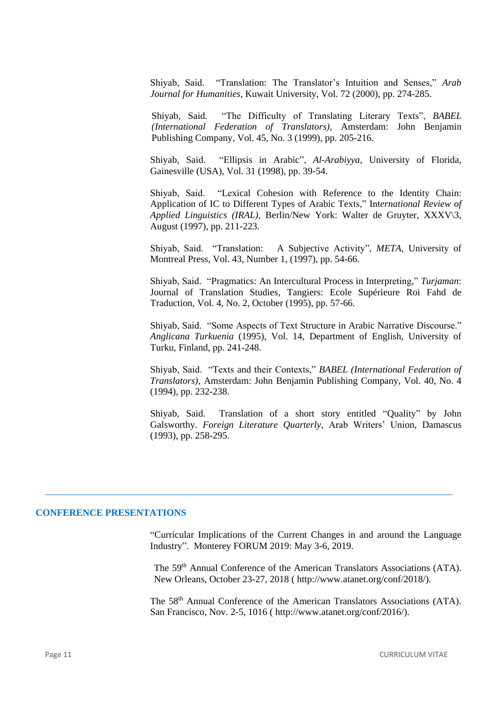Shiyab, Said. "Translation: The Translator's Intuition and Senses," *Arab Journal for Humanities*, Kuwait University, Vol. 72 (2000), pp. 274-285.

Shiyab, Said. "The Difficulty of Translating Literary Texts", *BABEL (International Federation of Translators)*, Amsterdam: John Benjamin Publishing Company, Vol. 45, No. 3 (1999), pp. 205-216.

Shiyab, Said. "Ellipsis in Arabic", *Al-Arabiyya*, University of Florida, Gainesville (USA), Vol. 31 (1998), pp. 39-54.

Shiyab, Said. "Lexical Cohesion with Reference to the Identity Chain: Application of IC to Different Types of Arabic Texts," Int*ernational Review of Applied Linguistics (IRAL)*, Berlin/New York: Walter de Gruyter, XXXV\3, August (1997), pp. 211-223.

Shiyab, Said. "Translation: A Subjective Activity", *META*, University of Montreal Press, Vol. 43, Number 1, (1997), pp. 54-66.

Shiyab, Said. "Pragmatics: An Intercultural Process in Interpreting," *Turjaman*: Journal of Translation Studies, Tangiers: Ecole Supérieure Roi Fahd de Traduction, Vol. 4, No. 2, October (1995), pp. 57-66.

Shiyab, Said. "Some Aspects of Text Structure in Arabic Narrative Discourse." *Anglicana Turkuenia* (1995), Vol. 14, Department of English, University of Turku, Finland, pp. 241-248.

Shiyab, Said. "Texts and their Contexts," *BABEL (International Federation of Translators)*, Amsterdam: John Benjamin Publishing Company, Vol. 40, No. 4 (1994), pp. 232-238.

Shiyab, Said. Translation of a short story entitled "Quality" by John Galsworthy. *Foreign Literature Quarterly*, Arab Writers' Union, Damascus (1993), pp. 258-295.

#### **CONFERENCE PRESENTATIONS**

"Curricular Implications of the Current Changes in and around the Language Industry". Monterey FORUM 2019: May 3-6, 2019.

 $\_$  , and the set of the set of the set of the set of the set of the set of the set of the set of the set of the set of the set of the set of the set of the set of the set of the set of the set of the set of the set of th

The 59<sup>th</sup> Annual Conference of the American Translators Associations (ATA). New Orleans, October 23-27, 2018 ( http://www.atanet.org/conf/2018/).

The 58<sup>th</sup> Annual Conference of the American Translators Associations (ATA). San Francisco, Nov. 2-5, 1016 ( http://www.atanet.org/conf/2016/).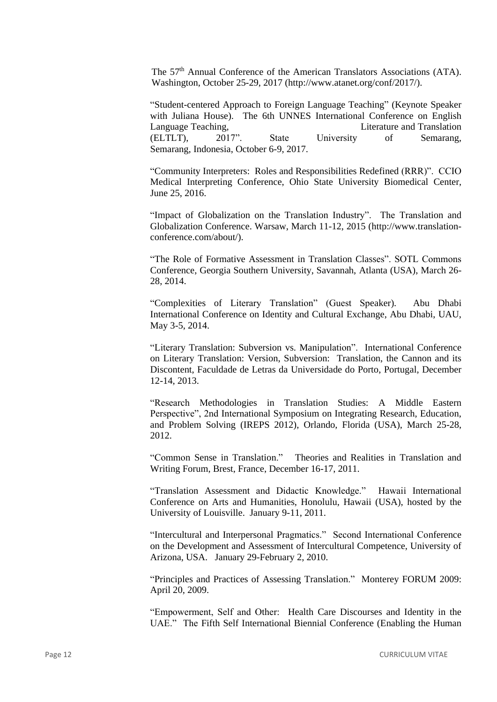The 57<sup>th</sup> Annual Conference of the American Translators Associations (ATA). Washington, October 25-29, 2017 (http://www.atanet.org/conf/2017/).

"Student-centered Approach to Foreign Language Teaching" (Keynote Speaker with Juliana House). The 6th UNNES International Conference on English Language Teaching, Literature and Translation (ELTLT), 2017". State University of Semarang, Semarang, Indonesia, October 6-9, 2017.

"Community Interpreters: Roles and Responsibilities Redefined (RRR)". CCIO Medical Interpreting Conference, Ohio State University Biomedical Center, June 25, 2016.

"Impact of Globalization on the Translation Industry". The Translation and Globalization Conference. Warsaw, March 11-12, 2015 (http://www.translationconference.com/about/).

"The Role of Formative Assessment in Translation Classes". SOTL Commons Conference, Georgia Southern University, Savannah, Atlanta (USA), March 26- 28, 2014.

"Complexities of Literary Translation" (Guest Speaker). Abu Dhabi International Conference on Identity and Cultural Exchange, Abu Dhabi, UAU, May 3-5, 2014.

"Literary Translation: Subversion vs. Manipulation". International Conference on Literary Translation: Version, Subversion: Translation, the Cannon and its Discontent, Faculdade de Letras da Universidade do Porto, Portugal, December 12-14, 2013.

"Research Methodologies in Translation Studies: A Middle Eastern Perspective", 2nd International Symposium on Integrating Research, Education, and Problem Solving (IREPS 2012), Orlando, Florida (USA), March 25-28, 2012.

"Common Sense in Translation." Theories and Realities in Translation and Writing Forum, Brest, France, December 16-17, 2011.

"Translation Assessment and Didactic Knowledge." Hawaii International Conference on Arts and Humanities, Honolulu, Hawaii (USA), hosted by the University of Louisville. January 9-11, 2011.

"Intercultural and Interpersonal Pragmatics." Second International Conference on the Development and Assessment of Intercultural Competence, University of Arizona, USA. January 29-February 2, 2010.

"Principles and Practices of Assessing Translation." Monterey FORUM 2009: April 20, 2009.

"Empowerment, Self and Other: Health Care Discourses and Identity in the UAE." The Fifth Self International Biennial Conference (Enabling the Human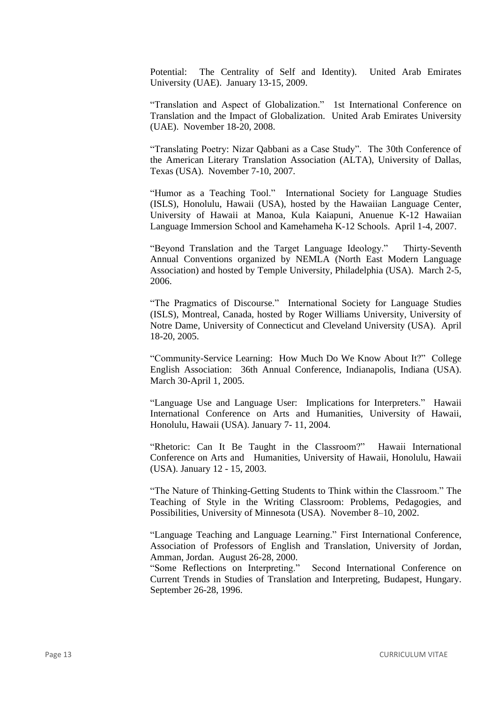Potential: The Centrality of Self and Identity). United Arab Emirates University (UAE). January 13-15, 2009.

"Translation and Aspect of Globalization." 1st International Conference on Translation and the Impact of Globalization. United Arab Emirates University (UAE). November 18-20, 2008.

"Translating Poetry: Nizar Qabbani as a Case Study". The 30th Conference of the American Literary Translation Association (ALTA), University of Dallas, Texas (USA). November 7-10, 2007.

"Humor as a Teaching Tool." International Society for Language Studies (ISLS), Honolulu, Hawaii (USA), hosted by the Hawaiian Language Center, University of Hawaii at Manoa, Kula Kaiapuni, Anuenue K-12 Hawaiian Language Immersion School and Kamehameha K-12 Schools. April 1-4, 2007.

"Beyond Translation and the Target Language Ideology." Thirty-Seventh Annual Conventions organized by NEMLA (North East Modern Language Association) and hosted by Temple University, Philadelphia (USA). March 2-5, 2006.

"The Pragmatics of Discourse." International Society for Language Studies (ISLS), Montreal, Canada, hosted by Roger Williams University, University of Notre Dame, University of Connecticut and Cleveland University (USA). April 18-20, 2005.

"Community-Service Learning: How Much Do We Know About It?" College English Association: 36th Annual Conference, Indianapolis, Indiana (USA). March 30-April 1, 2005.

"Language Use and Language User: Implications for Interpreters." Hawaii International Conference on Arts and Humanities, University of Hawaii, Honolulu, Hawaii (USA). January 7- 11, 2004.

"Rhetoric: Can It Be Taught in the Classroom?" Hawaii International Conference on Arts and Humanities, University of Hawaii, Honolulu, Hawaii (USA). January 12 - 15, 2003.

"The Nature of Thinking-Getting Students to Think within the Classroom." The Teaching of Style in the Writing Classroom: Problems, Pedagogies, and Possibilities, University of Minnesota (USA). November 8–10, 2002.

"Language Teaching and Language Learning." First International Conference, Association of Professors of English and Translation, University of Jordan, Amman, Jordan. August 26-28, 2000.

"Some Reflections on Interpreting." Second International Conference on Current Trends in Studies of Translation and Interpreting, Budapest, Hungary. September 26-28, 1996.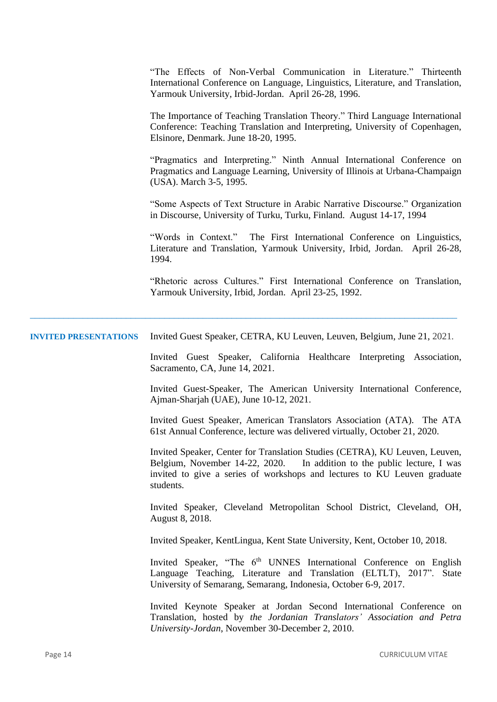|                              | "The Effects of Non-Verbal Communication in Literature." Thirteenth<br>International Conference on Language, Linguistics, Literature, and Translation,<br>Yarmouk University, Irbid-Jordan. April 26-28, 1996.                                  |
|------------------------------|-------------------------------------------------------------------------------------------------------------------------------------------------------------------------------------------------------------------------------------------------|
|                              | The Importance of Teaching Translation Theory." Third Language International<br>Conference: Teaching Translation and Interpreting, University of Copenhagen,<br>Elsinore, Denmark. June 18-20, 1995.                                            |
|                              | "Pragmatics and Interpreting." Ninth Annual International Conference on<br>Pragmatics and Language Learning, University of Illinois at Urbana-Champaign<br>(USA). March 3-5, 1995.                                                              |
|                              | "Some Aspects of Text Structure in Arabic Narrative Discourse." Organization<br>in Discourse, University of Turku, Turku, Finland. August 14-17, 1994                                                                                           |
|                              | "Words in Context."<br>The First International Conference on Linguistics,<br>Literature and Translation, Yarmouk University, Irbid, Jordan. April 26-28,<br>1994.                                                                               |
|                              | "Rhetoric across Cultures." First International Conference on Translation,<br>Yarmouk University, Irbid, Jordan. April 23-25, 1992.                                                                                                             |
| <b>INVITED PRESENTATIONS</b> | Invited Guest Speaker, CETRA, KU Leuven, Leuven, Belgium, June 21, 2021.                                                                                                                                                                        |
|                              | Invited Guest Speaker, California Healthcare Interpreting Association,<br>Sacramento, CA, June 14, 2021.                                                                                                                                        |
|                              | Invited Guest-Speaker, The American University International Conference,<br>Ajman-Sharjah (UAE), June 10-12, 2021.                                                                                                                              |
|                              | Invited Guest Speaker, American Translators Association (ATA). The ATA<br>61st Annual Conference, lecture was delivered virtually, October 21, 2020.                                                                                            |
|                              | Invited Speaker, Center for Translation Studies (CETRA), KU Leuven, Leuven,<br>Belgium, November 14-22, 2020. In addition to the public lecture, I was<br>invited to give a series of workshops and lectures to KU Leuven graduate<br>students. |
|                              | Invited Speaker, Cleveland Metropolitan School District, Cleveland, OH,<br>August 8, 2018.                                                                                                                                                      |
|                              | Invited Speaker, KentLingua, Kent State University, Kent, October 10, 2018.                                                                                                                                                                     |
|                              | Invited Speaker, "The 6 <sup>th</sup> UNNES International Conference on English<br>Language Teaching, Literature and Translation (ELTLT), 2017". State<br>University of Semarang, Semarang, Indonesia, October 6-9, 2017.                       |
|                              | Invited Keynote Speaker at Jordan Second International Conference on<br>Translation, hosted by the Jordanian Translators' Association and Petra<br>University-Jordan, November 30-December 2, 2010.                                             |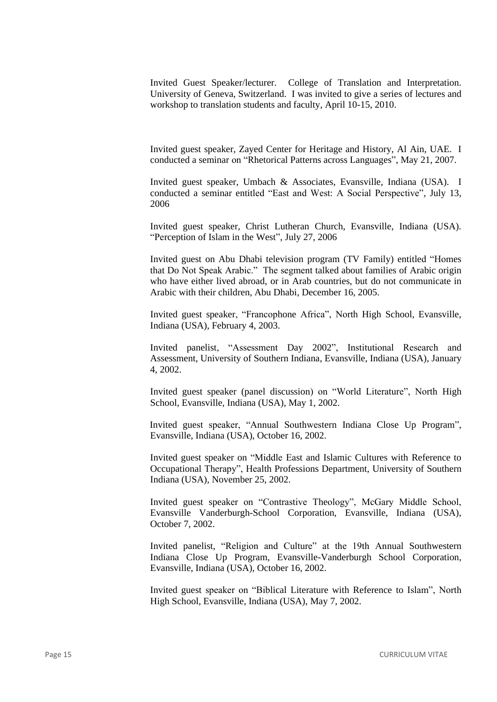Invited Guest Speaker/lecturer. College of Translation and Interpretation. University of Geneva, Switzerland. I was invited to give a series of lectures and workshop to translation students and faculty, April 10-15, 2010.

Invited guest speaker, Zayed Center for Heritage and History, Al Ain, UAE. I conducted a seminar on "Rhetorical Patterns across Languages", May 21, 2007.

Invited guest speaker, Umbach & Associates, Evansville, Indiana (USA). I conducted a seminar entitled "East and West: A Social Perspective", July 13, 2006

Invited guest speaker, Christ Lutheran Church, Evansville, Indiana (USA). "Perception of Islam in the West", July 27, 2006

Invited guest on Abu Dhabi television program (TV Family) entitled "Homes that Do Not Speak Arabic." The segment talked about families of Arabic origin who have either lived abroad, or in Arab countries, but do not communicate in Arabic with their children, Abu Dhabi, December 16, 2005.

Invited guest speaker, "Francophone Africa", North High School, Evansville, Indiana (USA), February 4, 2003.

Invited panelist, "Assessment Day 2002", Institutional Research and Assessment, University of Southern Indiana, Evansville, Indiana (USA), January 4, 2002.

Invited guest speaker (panel discussion) on "World Literature", North High School, Evansville, Indiana (USA), May 1, 2002.

Invited guest speaker, "Annual Southwestern Indiana Close Up Program", Evansville, Indiana (USA), October 16, 2002.

Invited guest speaker on "Middle East and Islamic Cultures with Reference to Occupational Therapy", Health Professions Department, University of Southern Indiana (USA), November 25, 2002.

Invited guest speaker on "Contrastive Theology", McGary Middle School, Evansville Vanderburgh-School Corporation, Evansville, Indiana (USA), October 7, 2002.

Invited panelist, "Religion and Culture" at the 19th Annual Southwestern Indiana Close Up Program, Evansville-Vanderburgh School Corporation, Evansville, Indiana (USA), October 16, 2002.

Invited guest speaker on "Biblical Literature with Reference to Islam", North High School, Evansville, Indiana (USA), May 7, 2002.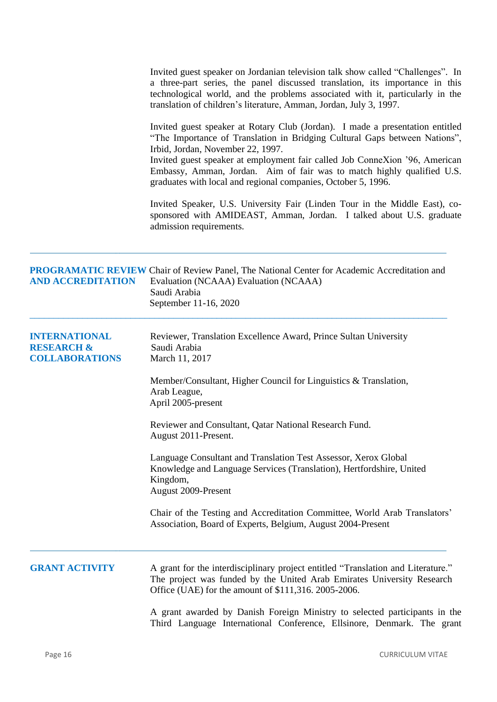|                                                                        | Invited guest speaker on Jordanian television talk show called "Challenges". In<br>a three-part series, the panel discussed translation, its importance in this<br>technological world, and the problems associated with it, particularly in the<br>translation of children's literature, Amman, Jordan, July 3, 1997.                                                                                                     |
|------------------------------------------------------------------------|----------------------------------------------------------------------------------------------------------------------------------------------------------------------------------------------------------------------------------------------------------------------------------------------------------------------------------------------------------------------------------------------------------------------------|
|                                                                        | Invited guest speaker at Rotary Club (Jordan). I made a presentation entitled<br>"The Importance of Translation in Bridging Cultural Gaps between Nations",<br>Irbid, Jordan, November 22, 1997.<br>Invited guest speaker at employment fair called Job ConneXion '96, American<br>Embassy, Amman, Jordan. Aim of fair was to match highly qualified U.S.<br>graduates with local and regional companies, October 5, 1996. |
|                                                                        | Invited Speaker, U.S. University Fair (Linden Tour in the Middle East), co-<br>sponsored with AMIDEAST, Amman, Jordan. I talked about U.S. graduate<br>admission requirements.                                                                                                                                                                                                                                             |
| <b>AND ACCREDITATION</b>                                               | <b>PROGRAMATIC REVIEW Chair of Review Panel, The National Center for Academic Accreditation and</b><br>Evaluation (NCAAA) Evaluation (NCAAA)<br>Saudi Arabia<br>September 11-16, 2020                                                                                                                                                                                                                                      |
| <b>INTERNATIONAL</b><br><b>RESEARCH &amp;</b><br><b>COLLABORATIONS</b> | Reviewer, Translation Excellence Award, Prince Sultan University<br>Saudi Arabia<br>March 11, 2017                                                                                                                                                                                                                                                                                                                         |
|                                                                        | Member/Consultant, Higher Council for Linguistics $&$ Translation,<br>Arab League,<br>April 2005-present                                                                                                                                                                                                                                                                                                                   |
|                                                                        | Reviewer and Consultant, Qatar National Research Fund.<br>August 2011-Present.                                                                                                                                                                                                                                                                                                                                             |
|                                                                        | Language Consultant and Translation Test Assessor, Xerox Global<br>Knowledge and Language Services (Translation), Hertfordshire, United<br>Kingdom,<br>August 2009-Present                                                                                                                                                                                                                                                 |
|                                                                        | Chair of the Testing and Accreditation Committee, World Arab Translators'<br>Association, Board of Experts, Belgium, August 2004-Present                                                                                                                                                                                                                                                                                   |
| <b>GRANT ACTIVITY</b>                                                  | A grant for the interdisciplinary project entitled "Translation and Literature."<br>The project was funded by the United Arab Emirates University Research<br>Office (UAE) for the amount of \$111,316. 2005-2006.                                                                                                                                                                                                         |
|                                                                        | A grant awarded by Danish Foreign Ministry to selected participants in the<br>Third Language International Conference, Ellsinore, Denmark. The grant                                                                                                                                                                                                                                                                       |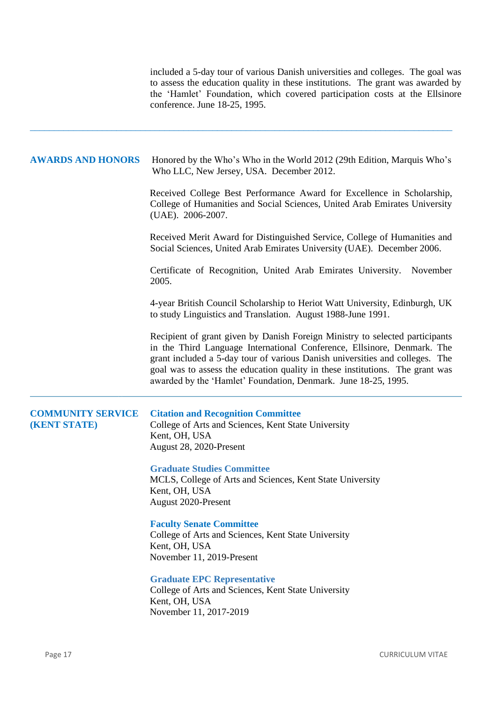included a 5-day tour of various Danish universities and colleges. The goal was to assess the education quality in these institutions. The grant was awarded by the 'Hamlet' Foundation, which covered participation costs at the Ellsinore conference. June 18-25, 1995.

## AWARDS AND HONORS Honored by the Who's Who in the World 2012 (29th Edition, Marquis Who's Who LLC, New Jersey, USA. December 2012.

\_\_\_\_\_\_\_\_\_\_\_\_\_\_\_\_\_\_\_\_\_\_\_\_\_\_\_\_\_\_\_\_\_\_\_\_\_\_\_\_\_\_\_\_\_\_\_\_\_\_\_\_\_\_\_\_\_\_\_\_\_\_\_\_\_\_\_\_\_\_\_\_\_\_\_\_\_\_\_\_\_\_\_\_\_\_\_\_

Received College Best Performance Award for Excellence in Scholarship, College of Humanities and Social Sciences, United Arab Emirates University (UAE). 2006-2007.

Received Merit Award for Distinguished Service, College of Humanities and Social Sciences, United Arab Emirates University (UAE). December 2006.

Certificate of Recognition, United Arab Emirates University. November 2005.

4-year British Council Scholarship to Heriot Watt University, Edinburgh, UK to study Linguistics and Translation. August 1988-June 1991.

Recipient of grant given by Danish Foreign Ministry to selected participants in the Third Language International Conference, Ellsinore, Denmark. The grant included a 5-day tour of various Danish universities and colleges. The goal was to assess the education quality in these institutions. The grant was awarded by the 'Hamlet' Foundation, Denmark. June 18-25, 1995.

| <b>COMMUNITY SERVICE</b><br><b>(KENT STATE)</b> | <b>Citation and Recognition Committee</b><br>College of Arts and Sciences, Kent State University<br>Kent, OH, USA<br>August 28, 2020-Present |
|-------------------------------------------------|----------------------------------------------------------------------------------------------------------------------------------------------|
|                                                 | <b>Graduate Studies Committee</b><br>MCLS, College of Arts and Sciences, Kent State University<br>Kent, OH, USA<br>August 2020-Present       |
|                                                 | <b>Faculty Senate Committee</b><br>College of Arts and Sciences, Kent State University<br>Kent, OH, USA<br>November 11, 2019-Present         |
|                                                 | <b>Graduate EPC Representative</b><br>College of Arts and Sciences, Kent State University<br>Kent, OH, USA<br>November 11, 2017-2019         |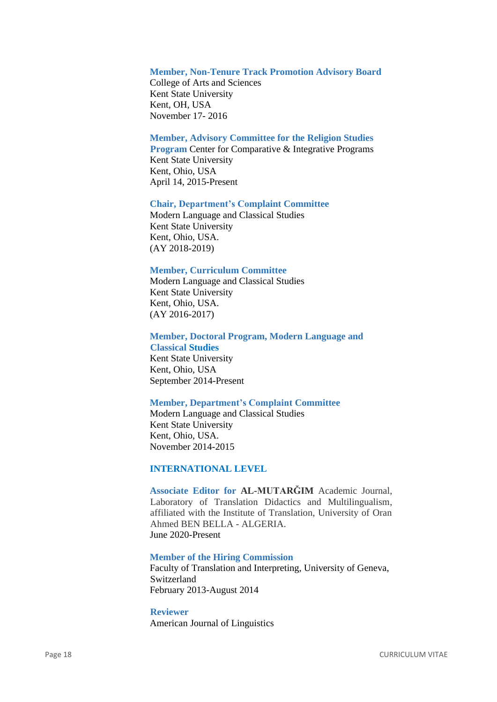## **Member, Non-Tenure Track Promotion Advisory Board**

College of Arts and Sciences Kent State University Kent, OH, USA November 17- 2016

## **Member, Advisory Committee for the Religion Studies**

**Program** Center for Comparative & Integrative Programs Kent State University Kent, Ohio, USA April 14, 2015-Present

#### **Chair, Department's Complaint Committee**

Modern Language and Classical Studies Kent State University Kent, Ohio, USA. (AY 2018-2019)

## **Member, Curriculum Committee**

Modern Language and Classical Studies Kent State University Kent, Ohio, USA. (AY 2016-2017)

## **Member, Doctoral Program, Modern Language and**

**Classical Studies** Kent State University Kent, Ohio, USA September 2014-Present

#### **Member, Department's Complaint Committee**

Modern Language and Classical Studies Kent State University Kent, Ohio, USA. November 2014-2015

## **INTERNATIONAL LEVEL**

**Associate Editor for AL-MUTARĞIM** Academic Journal, Laboratory of Translation Didactics and Multilingualism, affiliated with the Institute of Translation, University of Oran Ahmed BEN BELLA - ALGERIA. June 2020-Present

#### **Member of the Hiring Commission**

Faculty of Translation and Interpreting, University of Geneva, Switzerland February 2013-August 2014

**Reviewer** American Journal of Linguistics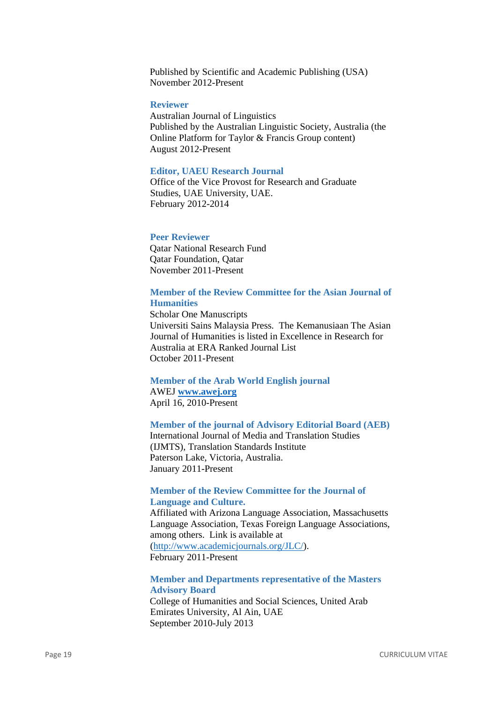Published by Scientific and Academic Publishing (USA) November 2012-Present

#### **Reviewer**

Australian Journal of Linguistics Published by the Australian Linguistic Society, Australia (the Online Platform for Taylor & Francis Group content) August 2012-Present

## **Editor, UAEU Research Journal**

Office of the Vice Provost for Research and Graduate Studies, UAE University, UAE. February 2012-2014

## **Peer Reviewer**

Qatar National Research Fund Qatar Foundation, Qatar November 2011-Present

## **Member of the Review Committee for the Asian Journal of Humanities**

Scholar One Manuscripts Universiti Sains Malaysia Press. The Kemanusiaan The Asian Journal of Humanities is listed in Excellence in Research for Australia at ERA Ranked Journal List October 2011-Present

## **Member of the Arab World English journal** AWEJ **[www.awej.org](http://www.awej.org/)**

April 16, 2010-Present

# **Member of the journal of Advisory Editorial Board (AEB)**

International Journal of Media and Translation Studies (IJMTS), Translation Standards Institute Paterson Lake, Victoria, Australia. January 2011-Present

# **Member of the Review Committee for the Journal of Language and Culture.**

Affiliated with Arizona Language Association, Massachusetts Language Association, Texas Foreign Language Associations, among others. Link is available at [\(http://www.academicjournals.org/JLC/\)](http://www.academicjournals.org/JLC/). February 2011-Present

# **Member and Departments representative of the Masters Advisory Board**

College of Humanities and Social Sciences, United Arab Emirates University, Al Ain, UAE September 2010-July 2013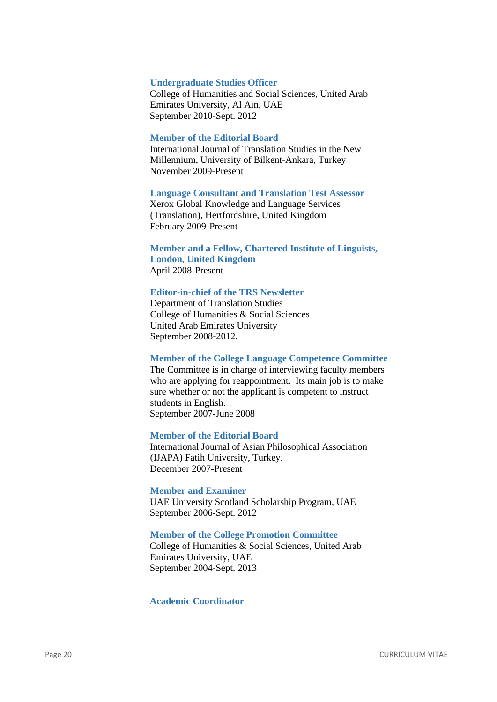#### **Undergraduate Studies Officer**

College of Humanities and Social Sciences, United Arab Emirates University, Al Ain, UAE September 2010-Sept. 2012

#### **Member of the Editorial Board**

International Journal of Translation Studies in the New Millennium, University of Bilkent-Ankara, Turkey November 2009-Present

#### **Language Consultant and Translation Test Assessor**

Xerox Global Knowledge and Language Services (Translation), Hertfordshire, United Kingdom February 2009-Present

## **Member and a Fellow, Chartered Institute of Linguists, London, United Kingdom** April 2008-Present

### **Editor-in-chief of the TRS Newsletter**

Department of Translation Studies College of Humanities & Social Sciences United Arab Emirates University September 2008-2012.

#### **Member of the College Language Competence Committee**

The Committee is in charge of interviewing faculty members who are applying for reappointment. Its main job is to make sure whether or not the applicant is competent to instruct students in English. September 2007-June 2008

#### **Member of the Editorial Board**

International Journal of Asian Philosophical Association (IJAPA) Fatih University, Turkey. December 2007-Present

#### **Member and Examiner**

UAE University Scotland Scholarship Program, UAE September 2006-Sept. 2012

## **Member of the College Promotion Committee**

College of Humanities & Social Sciences, United Arab Emirates University, UAE September 2004-Sept. 2013

## **Academic Coordinator**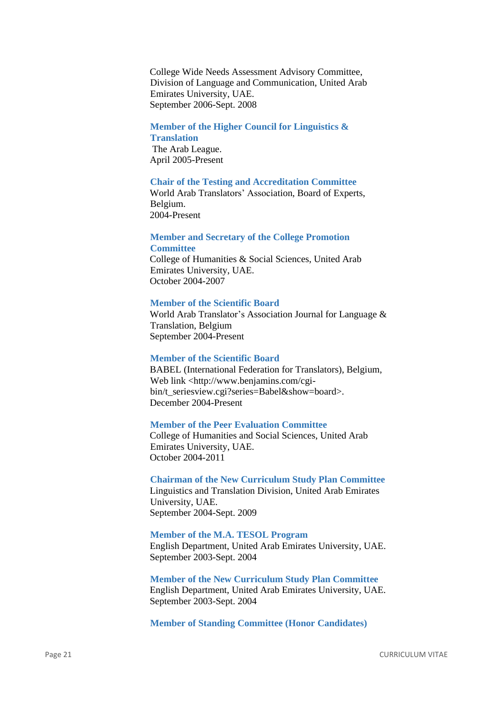College Wide Needs Assessment Advisory Committee, Division of Language and Communication, United Arab Emirates University, UAE. September 2006-Sept. 2008

## **Member of the Higher Council for Linguistics &**

**Translation**

The Arab League. April 2005-Present

#### **Chair of the Testing and Accreditation Committee**

World Arab Translators' Association, Board of Experts, Belgium. 2004-Present

#### **Member and Secretary of the College Promotion Committee**

College of Humanities & Social Sciences, United Arab Emirates University, UAE. October 2004-2007

#### **Member of the Scientific Board**

World Arab Translator's Association Journal for Language & Translation, Belgium September 2004-Present

#### **Member of the Scientific Board**

BABEL (International Federation for Translators), Belgium, Web link <http://www.benjamins.com/cgibin/t\_seriesview.cgi?series=Babel&show=board>. December 2004-Present

## **Member of the Peer Evaluation Committee**

College of Humanities and Social Sciences, United Arab Emirates University, UAE. October 2004-2011

# **Chairman of the New Curriculum Study Plan Committee**

Linguistics and Translation Division, United Arab Emirates University, UAE. September 2004-Sept. 2009

## **Member of the M.A. TESOL Program**

English Department, United Arab Emirates University, UAE. September 2003-Sept. 2004

**Member of the New Curriculum Study Plan Committee** English Department, United Arab Emirates University, UAE. September 2003-Sept. 2004

**Member of Standing Committee (Honor Candidates)**